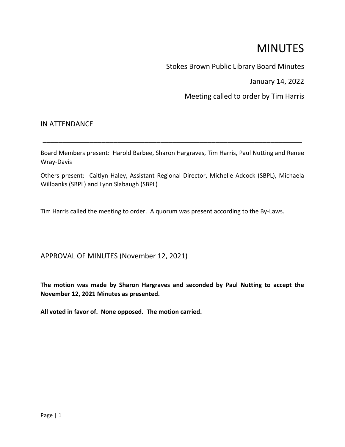# MINUTES

Stokes Brown Public Library Board Minutes

January 14, 2022

Meeting called to order by Tim Harris

## IN ATTENDANCE

Board Members present: Harold Barbee, Sharon Hargraves, Tim Harris, Paul Nutting and Renee Wray-Davis

\_\_\_\_\_\_\_\_\_\_\_\_\_\_\_\_\_\_\_\_\_\_\_\_\_\_\_\_\_\_\_\_\_\_\_\_\_\_\_\_\_\_\_\_\_\_\_\_\_\_\_\_\_\_\_\_\_\_\_\_\_\_\_\_\_\_

Others present: Caitlyn Haley, Assistant Regional Director, Michelle Adcock (SBPL), Michaela Willbanks (SBPL) and Lynn Slabaugh (SBPL)

Tim Harris called the meeting to order. A quorum was present according to the By-Laws.

# APPROVAL OF MINUTES (November 12, 2021)

**The motion was made by Sharon Hargraves and seconded by Paul Nutting to accept the November 12, 2021 Minutes as presented.**

\_\_\_\_\_\_\_\_\_\_\_\_\_\_\_\_\_\_\_\_\_\_\_\_\_\_\_\_\_\_\_\_\_\_\_\_\_\_\_\_\_\_\_\_\_\_\_\_\_\_\_\_\_\_\_\_\_\_\_\_\_\_\_\_\_\_\_

**All voted in favor of. None opposed. The motion carried.**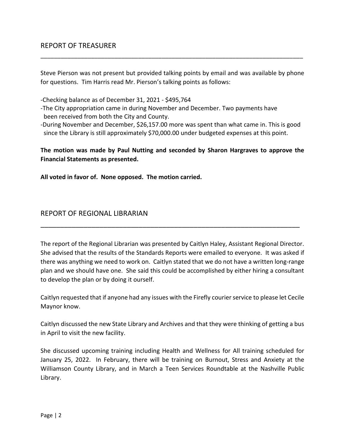Steve Pierson was not present but provided talking points by email and was available by phone for questions. Tim Harris read Mr. Pierson's talking points as follows:

\_\_\_\_\_\_\_\_\_\_\_\_\_\_\_\_\_\_\_\_\_\_\_\_\_\_\_\_\_\_\_\_\_\_\_\_\_\_\_\_\_\_\_\_\_\_\_\_\_\_\_\_\_\_\_\_\_\_\_\_\_\_\_\_\_\_\_\_\_\_\_\_\_\_\_\_\_\_

- -Checking balance as of December 31, 2021 \$495,764
- -The City appropriation came in during November and December. Two payments have been received from both the City and County.
- -During November and December, \$26,157.00 more was spent than what came in. This is good since the Library is still approximately \$70,000.00 under budgeted expenses at this point.

**The motion was made by Paul Nutting and seconded by Sharon Hargraves to approve the Financial Statements as presented.**

**All voted in favor of. None opposed. The motion carried.**

## REPORT OF REGIONAL LIBRARIAN

The report of the Regional Librarian was presented by Caitlyn Haley, Assistant Regional Director. She advised that the results of the Standards Reports were emailed to everyone. It was asked if there was anything we need to work on. Caitlyn stated that we do not have a written long-range plan and we should have one. She said this could be accomplished by either hiring a consultant to develop the plan or by doing it ourself.

 $\overline{a}$  , and the contribution of the contribution of the contribution of the contribution of the contribution of  $\overline{a}$ 

Caitlyn requested that if anyone had any issues with the Firefly courier service to please let Cecile Maynor know.

Caitlyn discussed the new State Library and Archives and that they were thinking of getting a bus in April to visit the new facility.

She discussed upcoming training including Health and Wellness for All training scheduled for January 25, 2022. In February, there will be training on Burnout, Stress and Anxiety at the Williamson County Library, and in March a Teen Services Roundtable at the Nashville Public Library.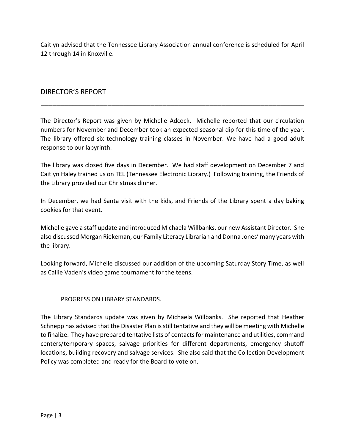Caitlyn advised that the Tennessee Library Association annual conference is scheduled for April 12 through 14 in Knoxville.

# DIRECTOR'S REPORT

The Director's Report was given by Michelle Adcock. Michelle reported that our circulation numbers for November and December took an expected seasonal dip for this time of the year. The library offered six technology training classes in November. We have had a good adult response to our labyrinth.

\_\_\_\_\_\_\_\_\_\_\_\_\_\_\_\_\_\_\_\_\_\_\_\_\_\_\_\_\_\_\_\_\_\_\_\_\_\_\_\_\_\_\_\_\_\_\_\_\_\_\_\_\_\_\_\_\_\_\_\_\_\_\_\_\_\_\_

The library was closed five days in December. We had staff development on December 7 and Caitlyn Haley trained us on TEL (Tennessee Electronic Library.) Following training, the Friends of the Library provided our Christmas dinner.

In December, we had Santa visit with the kids, and Friends of the Library spent a day baking cookies for that event.

Michelle gave a staff update and introduced Michaela Willbanks, our new Assistant Director. She also discussed Morgan Riekeman, our Family Literacy Librarian and Donna Jones' many years with the library.

Looking forward, Michelle discussed our addition of the upcoming Saturday Story Time, as well as Callie Vaden's video game tournament for the teens.

#### PROGRESS ON LIBRARY STANDARDS.

The Library Standards update was given by Michaela Willbanks. She reported that Heather Schnepp has advised that the Disaster Plan is still tentative and they will be meeting with Michelle to finalize. They have prepared tentative lists of contacts for maintenance and utilities, command centers/temporary spaces, salvage priorities for different departments, emergency shutoff locations, building recovery and salvage services. She also said that the Collection Development Policy was completed and ready for the Board to vote on.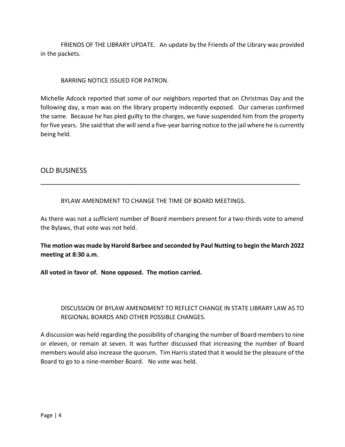FRIENDS OF THE LIBRARY UPDATE. An update by the Friends of the Library was provided in the packets.

BARRING NOTICE ISSUED FOR PATRON.

Michelle Adcock reported that some of our neighbors reported that on Christmas Day and the following day, a man was on the library property indecently exposed. Our cameras confirmed the same. Because he has pled guilty to the charges, we have suspended him from the property for five years. She said that she will send a five-year barring notice to the jail where he is currently being held.

## OLD BUSINESS

BYLAW AMENDMENT TO CHANGE THE TIME OF BOARD MEETINGS.

As there was not a sufficient number of Board members present for a two-thirds vote to amend the Bylaws, that vote was not held.

\_\_\_\_\_\_\_\_\_\_\_\_\_\_\_\_\_\_\_\_\_\_\_\_\_\_\_\_\_\_\_\_\_\_\_\_\_\_\_\_\_\_\_\_\_\_\_\_\_\_\_\_\_\_\_\_\_\_\_\_\_\_\_\_\_\_

**The motion was made by Harold Barbee and seconded by Paul Nutting to begin the March 2022 meeting at 8:30 a.m.**

**All voted in favor of. None opposed. The motion carried.**

## DISCUSSION OF BYLAW AMENDMENT TO REFLECT CHANGE IN STATE LIBRARY LAW AS TO REGIONAL BOARDS AND OTHER POSSIBLE CHANGES.

A discussion was held regarding the possibility of changing the number of Board members to nine or eleven, or remain at seven. It was further discussed that increasing the number of Board members would also increase the quorum. Tim Harris stated that it would be the pleasure of the Board to go to a nine-member Board. No vote was held.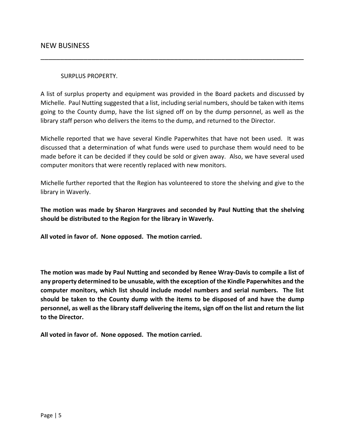#### SURPLUS PROPERTY.

A list of surplus property and equipment was provided in the Board packets and discussed by Michelle. Paul Nutting suggested that a list, including serial numbers, should be taken with items going to the County dump, have the list signed off on by the dump personnel, as well as the library staff person who delivers the items to the dump, and returned to the Director.

\_\_\_\_\_\_\_\_\_\_\_\_\_\_\_\_\_\_\_\_\_\_\_\_\_\_\_\_\_\_\_\_\_\_\_\_\_\_\_\_\_\_\_\_\_\_\_\_\_\_\_\_\_\_\_\_\_\_\_\_\_\_\_\_\_\_\_

Michelle reported that we have several Kindle Paperwhites that have not been used. It was discussed that a determination of what funds were used to purchase them would need to be made before it can be decided if they could be sold or given away. Also, we have several used computer monitors that were recently replaced with new monitors.

Michelle further reported that the Region has volunteered to store the shelving and give to the library in Waverly.

**The motion was made by Sharon Hargraves and seconded by Paul Nutting that the shelving should be distributed to the Region for the library in Waverly.**

**All voted in favor of. None opposed. The motion carried.**

**The motion was made by Paul Nutting and seconded by Renee Wray-Davis to compile a list of any property determined to be unusable, with the exception of the Kindle Paperwhites and the computer monitors, which list should include model numbers and serial numbers. The list should be taken to the County dump with the items to be disposed of and have the dump personnel, as well as the library staff delivering the items, sign off on the list and return the list to the Director.**

**All voted in favor of. None opposed. The motion carried.**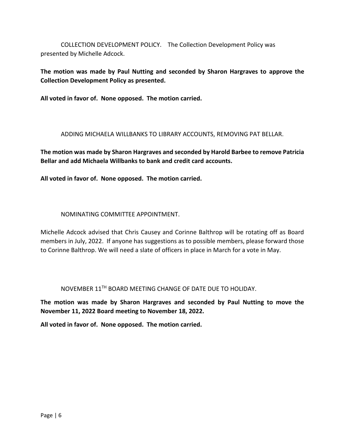COLLECTION DEVELOPMENT POLICY. The Collection Development Policy was presented by Michelle Adcock.

**The motion was made by Paul Nutting and seconded by Sharon Hargraves to approve the Collection Development Policy as presented.**

**All voted in favor of. None opposed. The motion carried.**

ADDING MICHAELA WILLBANKS TO LIBRARY ACCOUNTS, REMOVING PAT BELLAR.

**The motion was made by Sharon Hargraves and seconded by Harold Barbee to remove Patricia Bellar and add Michaela Willbanks to bank and credit card accounts.**

**All voted in favor of. None opposed. The motion carried.**

#### NOMINATING COMMITTEE APPOINTMENT.

Michelle Adcock advised that Chris Causey and Corinne Balthrop will be rotating off as Board members in July, 2022. If anyone has suggestions as to possible members, please forward those to Corinne Balthrop. We will need a slate of officers in place in March for a vote in May.

NOVEMBER 11TH BOARD MEETING CHANGE OF DATE DUE TO HOLIDAY.

**The motion was made by Sharon Hargraves and seconded by Paul Nutting to move the November 11, 2022 Board meeting to November 18, 2022.**

**All voted in favor of. None opposed. The motion carried.**